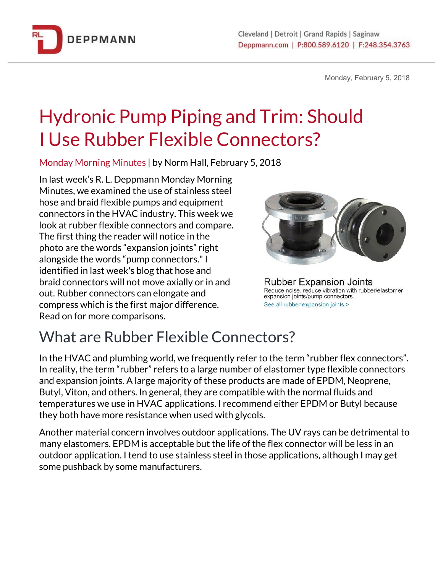

Monday, February 5, 2018

# Hydronic Pump Piping and Trim: Should I Use Rubber Flexible Connectors?

Monday Morning Minutes | by Norm Hall, February 5, 2018

In last week's R. L. Deppmann Monday Morning Minutes, we examined the use of stainless steel hose and braid flexible pumps and equipment connectors in the HVAC industry. This week we look at rubber flexible connectors and compare. The first thing the reader will notice in the photo are the words "expansion joints" right alongside the words "pump connectors."I identified in last week's blog that hose and braid connectors will not move axially or in and out. Rubber connectors can elongate and compress which is the first major difference. Read on for more comparisons.



**Rubber Expansion Joints** Reduce noise, reduce vibration with rubber/elastomer expansion joints/pump connectors. See all rubber expansion joints >

## What are Rubber Flexible Connectors?

In the HVAC and plumbing world, we frequently refer to the term "rubber flex connectors". In reality, the term "rubber" refers to a large number of elastomer type flexible connectors and expansion joints. A large majority of these products are made of EPDM, Neoprene, Butyl, Viton, and others. In general, they are compatible with the normal fluids and temperatures we use in HVAC applications. I recommend either EPDM or Butyl because they both have more resistance when used with glycols.

Another material concern involves outdoor applications. The UV rays can be detrimental to many elastomers. EPDM is acceptable but the life of the flex connector will be less in an outdoor application. I tend to use stainless steel in those applications, although I may get some pushback by some manufacturers.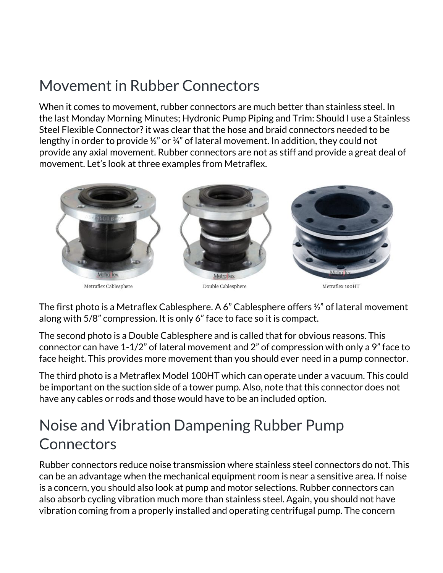## Movement in Rubber Connectors

When it comes to movement, rubber connectors are much better than stainless steel. In the last Monday Morning Minutes; Hydronic Pump Piping and Trim: Should I use a Stainless Steel Flexible Connector? it was clear that the hose and braid connectors needed to be lengthy in order to provide ½" or ¾" of lateral movement. In addition, they could not provide any axial movement. Rubber connectors are not as stiff and provide a great deal of movement. Let's look at three examples from Metraflex.



The first photo is a Metraflex Cablesphere. A 6" Cablesphere offers ½" of lateral movement along with 5/8" compression. It is only 6" face to face so it is compact.

The second photo is a Double Cablesphere and is called that for obvious reasons. This connector can have 1-1/2" of lateral movement and 2" of compression with only a 9" face to face height. This provides more movement than you should ever need in a pump connector.

The third photo is a Metraflex Model 100HT which can operate under a vacuum. This could be important on the suction side of a tower pump. Also, note that this connector does not have any cables or rods and those would have to be an included option.

#### Noise and Vibration Dampening Rubber Pump **Connectors**

Rubber connectors reduce noise transmission where stainless steel connectors do not. This can be an advantage when the mechanical equipment room is near a sensitive area. If noise is a concern, you should also look at pump and motor selections. Rubber connectors can also absorb cycling vibration much more than stainless steel. Again, you should not have vibration coming from a properly installed and operating centrifugal pump. The concern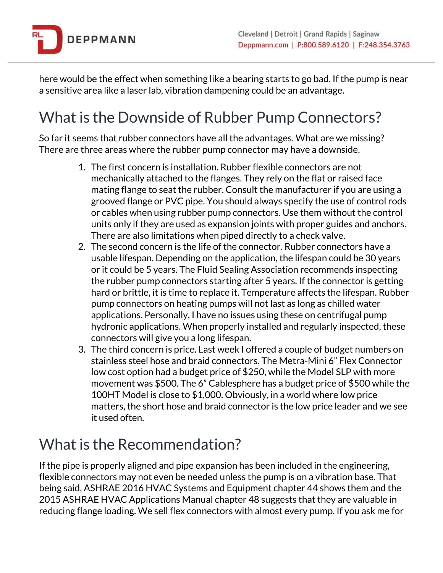

here would be the effect when something like a bearing starts to go bad. If the pump is near a sensitive area like a laser lab, vibration dampening could be an advantage.

## What is the Downside of Rubber Pump Connectors?

So far it seems that rubber connectors have all the advantages. What are we missing? There are three areas where the rubber pump connector may have a downside.

- 1. The first concern is installation. Rubber flexible connectors are not mechanically attached to the flanges. They rely on the flat or raised face mating flange to seat the rubber. Consult the manufacturer if you are using a grooved flange or PVC pipe. You should always specify the use of control rods or cables when using rubber pump connectors. Use them without the control units only if they are used as expansion joints with proper guides and anchors. There are also limitations when piped directly to a check valve.
- 2. The second concern is the life of the connector. Rubber connectors have a usable lifespan. Depending on the application, the lifespan could be 30 years or it could be 5 years. The Fluid Sealing Association recommends inspecting the rubber pump connectors starting after 5 years. If the connector is getting hard or brittle, it is time to replace it. Temperature affects the lifespan. Rubber pump connectors on heating pumps will not last as long as chilled water applications. Personally, I have no issues using these on centrifugal pump hydronic applications. When properly installed and regularly inspected, these connectors will give you a long lifespan.
- 3. The third concern is price. Last week I offered a couple of budget numbers on stainless steel hose and braid connectors. The Metra-Mini 6" Flex Connector low cost option had a budget price of \$250, while the Model SLP with more movement was \$500. The 6" Cablesphere has a budget price of \$500 while the 100HT Model is close to \$1,000. Obviously, in a world where low price matters, the short hose and braid connector is the low price leader and we see it used often.

### What is the Recommendation?

If the pipe is properly aligned and pipe expansion has been included in the engineering, flexible connectors may not even be needed unless the pump is on a vibration base. That being said, ASHRAE 2016 HVAC Systems and Equipment chapter 44 shows them and the 2015 ASHRAE HVAC Applications Manual chapter 48 suggests that they are valuable in reducing flange loading. We sell flex connectors with almost every pump. If you ask me for